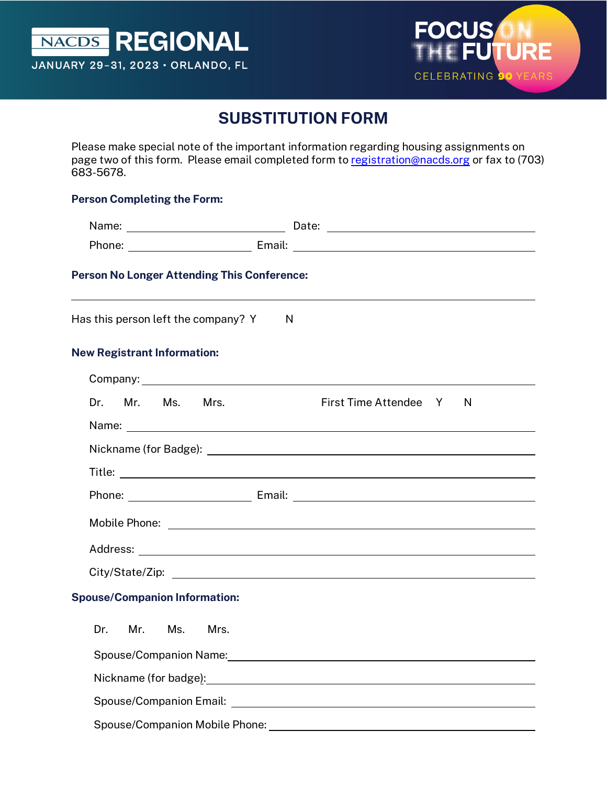



# **SUBSTITUTION FORM**

Please make special note of the important information regarding housing assignments on page two of this form. Please email completed form to [registration@nacds.org](mailto:registration@nacds.org) or fax to (703) 683-5678.

#### **Person Completing the Form:**

| Person No Longer Attending This Conference: |                                                                                                                                                                                                                                |
|---------------------------------------------|--------------------------------------------------------------------------------------------------------------------------------------------------------------------------------------------------------------------------------|
| Has this person left the company? Y         | N                                                                                                                                                                                                                              |
| <b>New Registrant Information:</b>          |                                                                                                                                                                                                                                |
|                                             |                                                                                                                                                                                                                                |
| Mr. Ms.<br>Mrs.<br>Dr.                      | First Time Attendee Y<br>N                                                                                                                                                                                                     |
|                                             |                                                                                                                                                                                                                                |
|                                             |                                                                                                                                                                                                                                |
|                                             |                                                                                                                                                                                                                                |
|                                             |                                                                                                                                                                                                                                |
|                                             | Mobile Phone: <u>www.community.com/inductors/inductors/inductors/inductors/inductors/inductors/inductors/inductors</u>                                                                                                         |
|                                             |                                                                                                                                                                                                                                |
|                                             |                                                                                                                                                                                                                                |
|                                             | City/State/Zip: the contract of the contract of the contract of the contract of the contract of the contract of the contract of the contract of the contract of the contract of the contract of the contract of the contract o |
| <b>Spouse/Companion Information:</b>        |                                                                                                                                                                                                                                |
| Dr.<br>Mr. Ms. Mrs.                         |                                                                                                                                                                                                                                |
|                                             | Spouse/Companion Name: The Companion of the Companion of the Companion of the Companion of the Companion of the                                                                                                                |
|                                             | Nickname (for badge): The contract of the contract of the contract of the contract of the contract of the contract of the contract of the contract of the contract of the contract of the contract of the contract of the cont |
| <b>Spouse/Companion Email:</b>              |                                                                                                                                                                                                                                |

Spouse/Companion Mobile Phone: